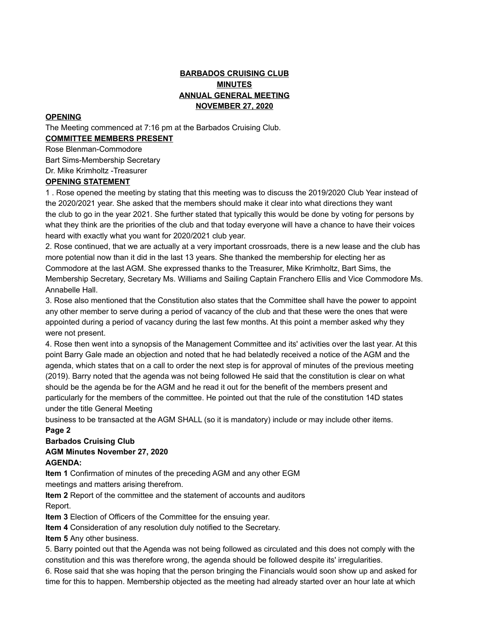# **BARBADOS CRUISING CLUB MINUTES ANNUAL GENERAL MEETING NOVEMBER 27, 2020**

### **OPENING**

The Meeting commenced at 7:16 pm at the Barbados Cruising Club. **COMMITTEE MEMBERS PRESENT**

Rose Blenman-Commodore

Bart Sims-Membership Secretary

Dr. Mike Krimholtz -Treasurer

### **OPENING STATEMENT**

1 . Rose opened the meeting by stating that this meeting was to discuss the 2019/2020 Club Year instead of the 2020/2021 year. She asked that the members should make it clear into what directions they want the club to go in the year 2021. She further stated that typically this would be done by voting for persons by what they think are the priorities of the club and that today everyone will have a chance to have their voices heard with exactly what you want for 2020/2021 club year.

2. Rose continued, that we are actually at a very important crossroads, there is a new lease and the club has more potential now than it did in the last 13 years. She thanked the membership for electing her as Commodore at the last AGM. She expressed thanks to the Treasurer, Mike Krimholtz, Bart Sims, the Membership Secretary, Secretary Ms. Williams and Sailing Captain Franchero Ellis and Vice Commodore Ms. Annabelle Hall.

3. Rose also mentioned that the Constitution also states that the Committee shall have the power to appoint any other member to serve during a period of vacancy of the club and that these were the ones that were appointed during a period of vacancy during the last few months. At this point a member asked why they were not present.

4. Rose then went into a synopsis of the Management Committee and its' activities over the last year. At this point Barry Gale made an objection and noted that he had belatedly received a notice of the AGM and the agenda, which states that on a call to order the next step is for approval of minutes of the previous meeting (2019). Barry noted that the agenda was not being followed He said that the constitution is clear on what should be the agenda be for the AGM and he read it out for the benefit of the members present and particularly for the members of the committee. He pointed out that the rule of the constitution 14D states under the title General Meeting

business to be transacted at the AGM SHALL (so it is mandatory) include or may include other items.

# **Page 2**

# **Barbados Cruising Club**

# **AGM Minutes November 27, 2020**

# **AGENDA:**

**Item 1** Confirmation of minutes of the preceding AGM and any other EGM

meetings and matters arising therefrom.

**Item 2** Report of the committee and the statement of accounts and auditors Report.

**Item 3** Election of Officers of the Committee for the ensuing year.

**Item 4** Consideration of any resolution duly notified to the Secretary.

**Item 5** Any other business.

5. Barry pointed out that the Agenda was not being followed as circulated and this does not comply with the constitution and this was therefore wrong, the agenda should be followed despite its' irregularities.

6. Rose said that she was hoping that the person bringing the Financials would soon show up and asked for time for this to happen. Membership objected as the meeting had already started over an hour late at which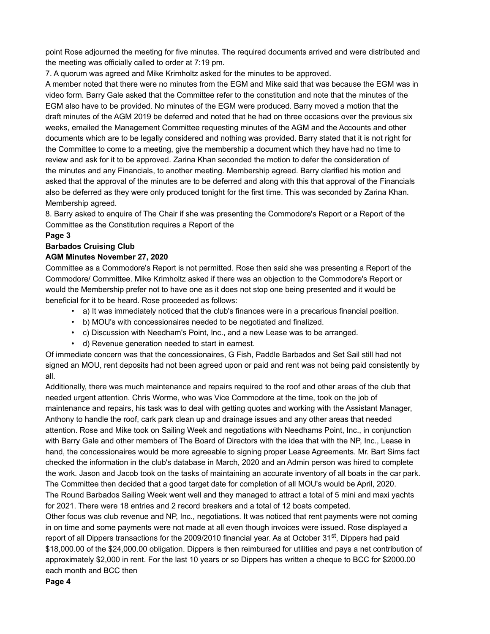point Rose adjourned the meeting for five minutes. The required documents arrived and were distributed and the meeting was officially called to order at 7:19 pm.

7. A quorum was agreed and Mike Krimholtz asked for the minutes to be approved.

A member noted that there were no minutes from the EGM and Mike said that was because the EGM was in video form. Barry Gale asked that the Committee refer to the constitution and note that the minutes of the EGM also have to be provided. No minutes of the EGM were produced. Barry moved a motion that the draft minutes of the AGM 2019 be deferred and noted that he had on three occasions over the previous six weeks, emailed the Management Committee requesting minutes of the AGM and the Accounts and other documents which are to be legally considered and nothing was provided. Barry stated that it is not right for the Committee to come to a meeting, give the membership a document which they have had no time to review and ask for it to be approved. Zarina Khan seconded the motion to defer the consideration of the minutes and any Financials, to another meeting. Membership agreed. Barry clarified his motion and asked that the approval of the minutes are to be deferred and along with this that approval of the Financials also be deferred as they were only produced tonight for the first time. This was seconded by Zarina Khan. Membership agreed.

8. Barry asked to enquire of The Chair if she was presenting the Commodore's Report or a Report of the Committee as the Constitution requires a Report of the

# **Page 3**

# **Barbados Cruising Club**

# **AGM Minutes November 27, 2020**

Committee as a Commodore's Report is not permitted. Rose then said she was presenting a Report of the Commodore/ Committee. Mike Krimholtz asked if there was an objection to the Commodore's Report or would the Membership prefer not to have one as it does not stop one being presented and it would be beneficial for it to be heard. Rose proceeded as follows:

- a) It was immediately noticed that the club's finances were in a precarious financial position.
- b) MOU's with concessionaires needed to be negotiated and finalized.
- c) Discussion with Needham's Point, Inc., and a new Lease was to be arranged.
- d) Revenue generation needed to start in earnest.

Of immediate concern was that the concessionaires, G Fish, Paddle Barbados and Set Sail still had not signed an MOU, rent deposits had not been agreed upon or paid and rent was not being paid consistently by all.

Additionally, there was much maintenance and repairs required to the roof and other areas of the club that needed urgent attention. Chris Worme, who was Vice Commodore at the time, took on the job of maintenance and repairs, his task was to deal with getting quotes and working with the Assistant Manager, Anthony to handle the roof, cark park clean up and drainage issues and any other areas that needed attention. Rose and Mike took on Sailing Week and negotiations with Needhams Point, Inc., in conjunction with Barry Gale and other members of The Board of Directors with the idea that with the NP, Inc., Lease in hand, the concessionaires would be more agreeable to signing proper Lease Agreements. Mr. Bart Sims fact checked the information in the club's database in March, 2020 and an Admin person was hired to complete the work. Jason and Jacob took on the tasks of maintaining an accurate inventory of all boats in the car park. The Committee then decided that a good target date for completion of all MOU's would be April, 2020. The Round Barbados Sailing Week went well and they managed to attract a total of 5 mini and maxi yachts for 2021. There were 18 entries and 2 record breakers and a total of 12 boats competed.

Other focus was club revenue and NP, Inc., negotiations. It was noticed that rent payments were not coming in on time and some payments were not made at all even though invoices were issued. Rose displayed a report of all Dippers transactions for the 2009/2010 financial year. As at October 31<sup>st</sup>, Dippers had paid \$18,000.00 of the \$24,000.00 obligation. Dippers is then reimbursed for utilities and pays a net contribution of approximately \$2,000 in rent. For the last 10 years or so Dippers has written a cheque to BCC for \$2000.00 each month and BCC then

### **Page 4**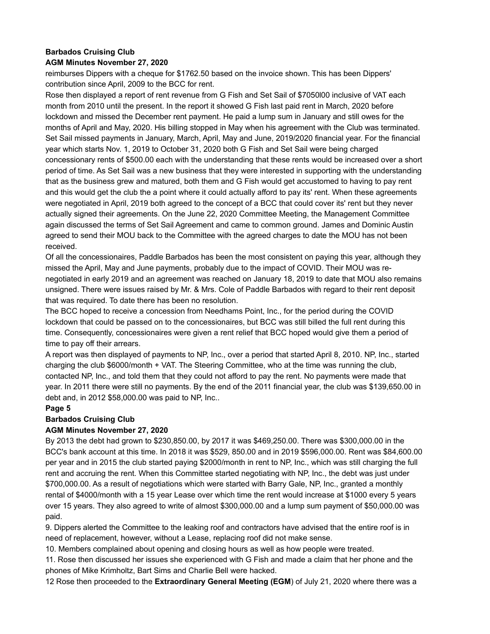# **Barbados Cruising Club**

### **AGM Minutes November 27, 2020**

reimburses Dippers with a cheque for \$1762.50 based on the invoice shown. This has been Dippers' contribution since April, 2009 to the BCC for rent.

Rose then displayed a report of rent revenue from G Fish and Set Sail of \$7050l00 inclusive of VAT each month from 2010 until the present. In the report it showed G Fish last paid rent in March, 2020 before lockdown and missed the December rent payment. He paid a lump sum in January and still owes for the months of April and May, 2020. His billing stopped in May when his agreement with the Club was terminated. Set Sail missed payments in January, March, April, May and June, 2019/2020 financial year. For the financial year which starts Nov. 1, 2019 to October 31, 2020 both G Fish and Set Sail were being charged concessionary rents of \$500.00 each with the understanding that these rents would be increased over a short period of time. As Set Sail was a new business that they were interested in supporting with the understanding that as the business grew and matured, both them and G Fish would get accustomed to having to pay rent and this would get the club the a point where it could actually afford to pay its' rent. When these agreements were negotiated in April, 2019 both agreed to the concept of a BCC that could cover its' rent but they never actually signed their agreements. On the June 22, 2020 Committee Meeting, the Management Committee again discussed the terms of Set Sail Agreement and came to common ground. James and Dominic Austin agreed to send their MOU back to the Committee with the agreed charges to date the MOU has not been received.

Of all the concessionaires, Paddle Barbados has been the most consistent on paying this year, although they missed the April, May and June payments, probably due to the impact of COVID. Their MOU was renegotiated in early 2019 and an agreement was reached on January 18, 2019 to date that MOU also remains unsigned. There were issues raised by Mr. & Mrs. Cole of Paddle Barbados with regard to their rent deposit that was required. To date there has been no resolution.

The BCC hoped to receive a concession from Needhams Point, Inc., for the period during the COVID lockdown that could be passed on to the concessionaires, but BCC was still billed the full rent during this time. Consequently, concessionaires were given a rent relief that BCC hoped would give them a period of time to pay off their arrears.

A report was then displayed of payments to NP, Inc., over a period that started April 8, 2010. NP, Inc., started charging the club \$6000/month + VAT. The Steering Committee, who at the time was running the club, contacted NP, Inc., and told them that they could not afford to pay the rent. No payments were made that year. In 2011 there were still no payments. By the end of the 2011 financial year, the club was \$139,650.00 in debt and, in 2012 \$58,000.00 was paid to NP, Inc..

### **Page 5**

### **Barbados Cruising Club**

### **AGM Minutes November 27, 2020**

By 2013 the debt had grown to \$230,850.00, by 2017 it was \$469,250.00. There was \$300,000.00 in the BCC's bank account at this time. In 2018 it was \$529, 850.00 and in 2019 \$596,000.00. Rent was \$84,600.00 per year and in 2015 the club started paying \$2000/month in rent to NP, Inc., which was still charging the full rent and accruing the rent. When this Committee started negotiating with NP, Inc., the debt was just under \$700,000.00. As a result of negotiations which were started with Barry Gale, NP, Inc., granted a monthly rental of \$4000/month with a 15 year Lease over which time the rent would increase at \$1000 every 5 years over 15 years. They also agreed to write of almost \$300,000.00 and a lump sum payment of \$50,000.00 was paid.

9. Dippers alerted the Committee to the leaking roof and contractors have advised that the entire roof is in need of replacement, however, without a Lease, replacing roof did not make sense.

10. Members complained about opening and closing hours as well as how people were treated.

11. Rose then discussed her issues she experienced with G Fish and made a claim that her phone and the phones of Mike Krimholtz, Bart Sims and Charlie Bell were hacked.

12 Rose then proceeded to the **Extraordinary General Meeting (EGM**) of July 21, 2020 where there was a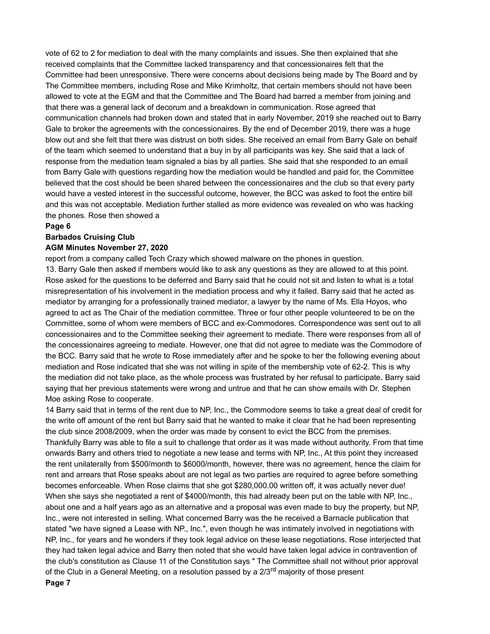vote of 62 to 2 for mediation to deal with the many complaints and issues. She then explained that she received complaints that the Committee lacked transparency and that concessionaires felt that the Committee had been unresponsive. There were concerns about decisions being made by The Board and by The Committee members, including Rose and Mike Krimholtz, that certain members should not have been allowed to vote at the EGM and that the Committee and The Board had barred a member from joining and that there was a general lack of decorum and a breakdown in communication. Rose agreed that communication channels had broken down and stated that in early November, 2019 she reached out to Barry Gale to broker the agreements with the concessionaires. By the end of December 2019, there was a huge blow out and she felt that there was distrust on both sides. She received an email from Barry Gale on behalf of the team which seemed to understand that a buy in by all participants was key. She said that a lack of response from the mediation team signaled a bias by all parties. She said that she responded to an email from Barry Gale with questions regarding how the mediation would be handled and paid for, the Committee believed that the cost should be been shared between the concessionaires and the club so that every party would have a vested interest in the successful outcome, however, the BCC was asked to foot the entire bill and this was not acceptable. Mediation further stalled as more evidence was revealed on who was hacking the phones. Rose then showed a

#### **Page 6**

### **Barbados Cruising Club**

#### **AGM Minutes November 27, 2020**

report from a company called Tech Crazy which showed malware on the phones in question. 13. Barry Gale then asked if members would like to ask any questions as they are allowed to at this point. Rose asked for the questions to be deferred and Barry said that he could not sit and listen to what is a total misrepresentation of his involvement in the mediation process and why it failed. Barry said that he acted as mediator by arranging for a professionally trained mediator, a lawyer by the name of Ms. Ella Hoyos, who agreed to act as The Chair of the mediation committee. Three or four other people volunteered to be on the Committee, some of whom were members of BCC and ex-Commodores. Correspondence was sent out to all concessionaires and to the Committee seeking their agreement to mediate. There were responses from all of the concessionaires agreeing to mediate. However, one that did not agree to mediate was the Commodore of the BCC. Barry said that he wrote to Rose immediately after and he spoke to her the following evening about mediation and Rose indicated that she was not willing in spite of the membership vote of 62-2. This is why the mediation did not take place, as the whole process was frustrated by her refusal to participate**.** Barry said saying that her previous statements were wrong and untrue and that he can show emails with Dr. Stephen Moe asking Rose to cooperate.

14 Barry said that in terms of the rent due to NP, Inc., the Commodore seems to take a great deal of credit for the write off amount of the rent but Barry said that he wanted to make it clear that he had been representing the club since 2008/2009, when the order was made by consent to evict the BCC from the premises. Thankfully Barry was able to file a suit to challenge that order as it was made without authority. From that time onwards Barry and others tried to negotiate a new lease and terms with NP, Inc., At this point they increased the rent unilaterally from \$500/month to \$6000/month, however, there was no agreement, hence the claim for rent and arrears that Rose speaks about are not legal as two parties are required to agree before something becomes enforceable. When Rose claims that she got \$280,000.00 written off, it was actually never due! When she says she negotiated a rent of \$4000/month, this had already been put on the table with NP, Inc., about one and a half years ago as an alternative and a proposal was even made to buy the property, but NP, Inc., were not interested in selling. What concerned Barry was the he received a Barnacle publication that stated "we have signed a Lease with NP., Inc.", even though he was intimately involved in negotiations with NP, Inc., for years and he wonders if they took legal advice on these lease negotiations. Rose interjected that they had taken legal advice and Barry then noted that she would have taken legal advice in contravention of the club's constitution as Clause 11 of the Constitution says " The Committee shall not without prior approval of the Club in a General Meeting, on a resolution passed by a  $2/3<sup>rd</sup>$  majority of those present **Page 7**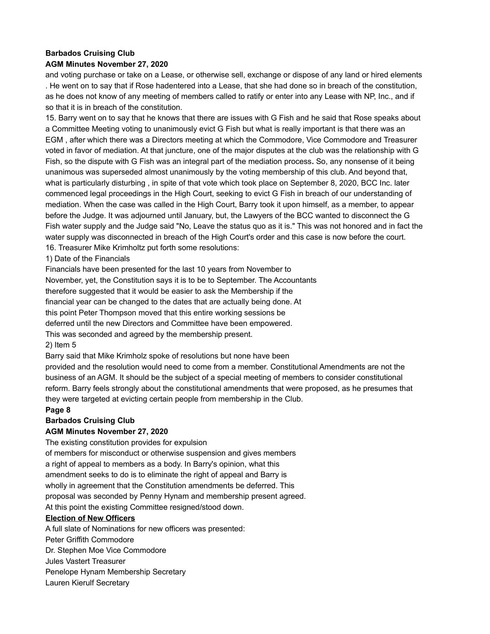# **Barbados Cruising Club AGM Minutes November 27, 2020**

# and voting purchase or take on a Lease, or otherwise sell, exchange or dispose of any land or hired elements . He went on to say that if Rose hadentered into a Lease, that she had done so in breach of the constitution, as he does not know of any meeting of members called to ratify or enter into any Lease with NP, Inc., and if so that it is in breach of the constitution.

15. Barry went on to say that he knows that there are issues with G Fish and he said that Rose speaks about a Committee Meeting voting to unanimously evict G Fish but what is really important is that there was an EGM , after which there was a Directors meeting at which the Commodore, Vice Commodore and Treasurer voted in favor of mediation. At that juncture, one of the major disputes at the club was the relationship with G Fish, so the dispute with G Fish was an integral part of the mediation process**.** So, any nonsense of it being unanimous was superseded almost unanimously by the voting membership of this club. And beyond that, what is particularly disturbing , in spite of that vote which took place on September 8, 2020, BCC Inc. later commenced legal proceedings in the High Court, seeking to evict G Fish in breach of our understanding of mediation. When the case was called in the High Court, Barry took it upon himself, as a member, to appear before the Judge. It was adjourned until January, but, the Lawyers of the BCC wanted to disconnect the G Fish water supply and the Judge said "No, Leave the status quo as it is." This was not honored and in fact the water supply was disconnected in breach of the High Court's order and this case is now before the court. 16. Treasurer Mike Krimholtz put forth some resolutions:

# 1) Date of the Financials

Financials have been presented for the last 10 years from November to

November, yet, the Constitution says it is to be to September. The Accountants

therefore suggested that it would be easier to ask the Membership if the

financial year can be changed to the dates that are actually being done. At

this point Peter Thompson moved that this entire working sessions be

deferred until the new Directors and Committee have been empowered.

This was seconded and agreed by the membership present.

# 2) Item 5

Barry said that Mike Krimholz spoke of resolutions but none have been

provided and the resolution would need to come from a member. Constitutional Amendments are not the business of an AGM. It should be the subject of a special meeting of members to consider constitutional reform. Barry feels strongly about the constitutional amendments that were proposed, as he presumes that they were targeted at evicting certain people from membership in the Club.

# **Page 8**

# **Barbados Cruising Club**

# **AGM Minutes November 27, 2020**

The existing constitution provides for expulsion

of members for misconduct or otherwise suspension and gives members a right of appeal to members as a body. In Barry's opinion, what this amendment seeks to do is to eliminate the right of appeal and Barry is wholly in agreement that the Constitution amendments be deferred. This proposal was seconded by Penny Hynam and membership present agreed. At this point the existing Committee resigned/stood down.

# **Election of New Officers**

A full slate of Nominations for new officers was presented: Peter Griffith Commodore Dr. Stephen Moe Vice Commodore Jules Vastert Treasurer Penelope Hynam Membership Secretary Lauren Kierulf Secretary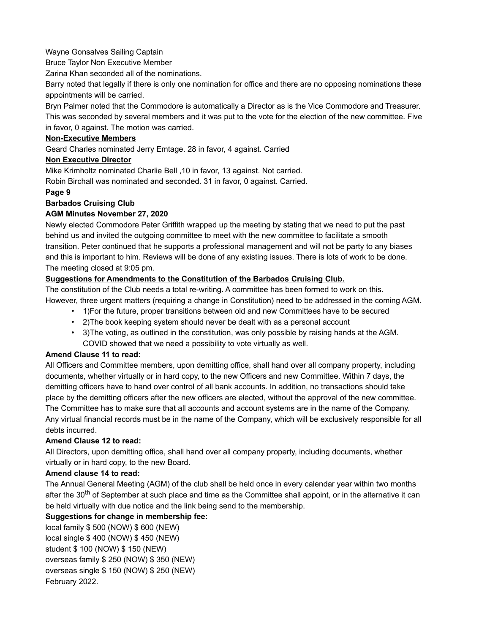# Wayne Gonsalves Sailing Captain

Bruce Taylor Non Executive Member

Zarina Khan seconded all of the nominations.

Barry noted that legally if there is only one nomination for office and there are no opposing nominations these appointments will be carried.

Bryn Palmer noted that the Commodore is automatically a Director as is the Vice Commodore and Treasurer. This was seconded by several members and it was put to the vote for the election of the new committee. Five in favor, 0 against. The motion was carried.

# **Non-Executive Members**

Geard Charles nominated Jerry Emtage. 28 in favor, 4 against. Carried

### **Non Executive Director**

Mike Krimholtz nominated Charlie Bell ,10 in favor, 13 against. Not carried.

Robin Birchall was nominated and seconded. 31 in favor, 0 against. Carried.

### **Page 9**

# **Barbados Cruising Club**

# **AGM Minutes November 27, 2020**

Newly elected Commodore Peter Griffith wrapped up the meeting by stating that we need to put the past behind us and invited the outgoing committee to meet with the new committee to facilitate a smooth transition. Peter continued that he supports a professional management and will not be party to any biases and this is important to him. Reviews will be done of any existing issues. There is lots of work to be done. The meeting closed at 9:05 pm.

# **Suggestions for Amendments to the Constitution of the Barbados Cruising Club.**

The constitution of the Club needs a total re-writing. A committee has been formed to work on this. However, three urgent matters (requiring a change in Constitution) need to be addressed in the coming AGM.

- 1)For the future, proper transitions between old and new Committees have to be secured
- 2)The book keeping system should never be dealt with as a personal account
- 3)The voting, as outlined in the constitution, was only possible by raising hands at the AGM. COVID showed that we need a possibility to vote virtually as well.

# **Amend Clause 11 to read:**

All Officers and Committee members, upon demitting office, shall hand over all company property, including documents, whether virtually or in hard copy, to the new Officers and new Committee. Within 7 days, the demitting officers have to hand over control of all bank accounts. In addition, no transactions should take place by the demitting officers after the new officers are elected, without the approval of the new committee. The Committee has to make sure that all accounts and account systems are in the name of the Company. Any virtual financial records must be in the name of the Company, which will be exclusively responsible for all debts incurred.

# **Amend Clause 12 to read:**

All Directors, upon demitting office, shall hand over all company property, including documents, whether virtually or in hard copy, to the new Board.

# **Amend clause 14 to read:**

The Annual General Meeting (AGM) of the club shall be held once in every calendar year within two months after the 30<sup>th</sup> of September at such place and time as the Committee shall appoint, or in the alternative it can be held virtually with due notice and the link being send to the membership.

# **Suggestions for change in membership fee:**

local family \$ 500 (NOW) \$ 600 (NEW) local single \$ 400 (NOW) \$ 450 (NEW) student \$ 100 (NOW) \$ 150 (NEW) overseas family \$ 250 (NOW) \$ 350 (NEW) overseas single \$ 150 (NOW) \$ 250 (NEW) February 2022.